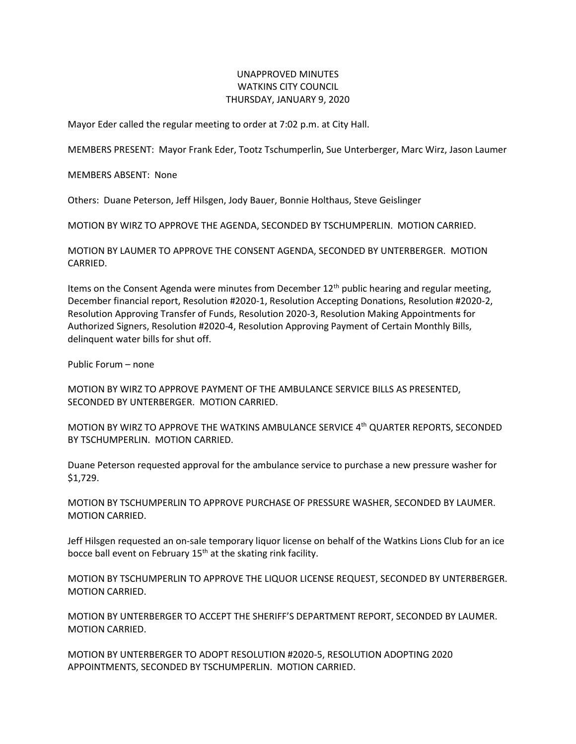## UNAPPROVED MINUTES WATKINS CITY COUNCIL THURSDAY, JANUARY 9, 2020

Mayor Eder called the regular meeting to order at 7:02 p.m. at City Hall.

MEMBERS PRESENT: Mayor Frank Eder, Tootz Tschumperlin, Sue Unterberger, Marc Wirz, Jason Laumer

MEMBERS ABSENT: None

Others: Duane Peterson, Jeff Hilsgen, Jody Bauer, Bonnie Holthaus, Steve Geislinger

MOTION BY WIRZ TO APPROVE THE AGENDA, SECONDED BY TSCHUMPERLIN. MOTION CARRIED.

MOTION BY LAUMER TO APPROVE THE CONSENT AGENDA, SECONDED BY UNTERBERGER. MOTION CARRIED.

Items on the Consent Agenda were minutes from December  $12<sup>th</sup>$  public hearing and regular meeting, December financial report, Resolution #2020-1, Resolution Accepting Donations, Resolution #2020-2, Resolution Approving Transfer of Funds, Resolution 2020-3, Resolution Making Appointments for Authorized Signers, Resolution #2020-4, Resolution Approving Payment of Certain Monthly Bills, delinquent water bills for shut off.

Public Forum – none

MOTION BY WIRZ TO APPROVE PAYMENT OF THE AMBULANCE SERVICE BILLS AS PRESENTED, SECONDED BY UNTERBERGER. MOTION CARRIED.

MOTION BY WIRZ TO APPROVE THE WATKINS AMBULANCE SERVICE 4<sup>th</sup> QUARTER REPORTS, SECONDED BY TSCHUMPERLIN. MOTION CARRIED.

Duane Peterson requested approval for the ambulance service to purchase a new pressure washer for \$1,729.

MOTION BY TSCHUMPERLIN TO APPROVE PURCHASE OF PRESSURE WASHER, SECONDED BY LAUMER. MOTION CARRIED.

Jeff Hilsgen requested an on-sale temporary liquor license on behalf of the Watkins Lions Club for an ice bocce ball event on February 15<sup>th</sup> at the skating rink facility.

MOTION BY TSCHUMPERLIN TO APPROVE THE LIQUOR LICENSE REQUEST, SECONDED BY UNTERBERGER. MOTION CARRIED.

MOTION BY UNTERBERGER TO ACCEPT THE SHERIFF'S DEPARTMENT REPORT, SECONDED BY LAUMER. MOTION CARRIED.

MOTION BY UNTERBERGER TO ADOPT RESOLUTION #2020-5, RESOLUTION ADOPTING 2020 APPOINTMENTS, SECONDED BY TSCHUMPERLIN. MOTION CARRIED.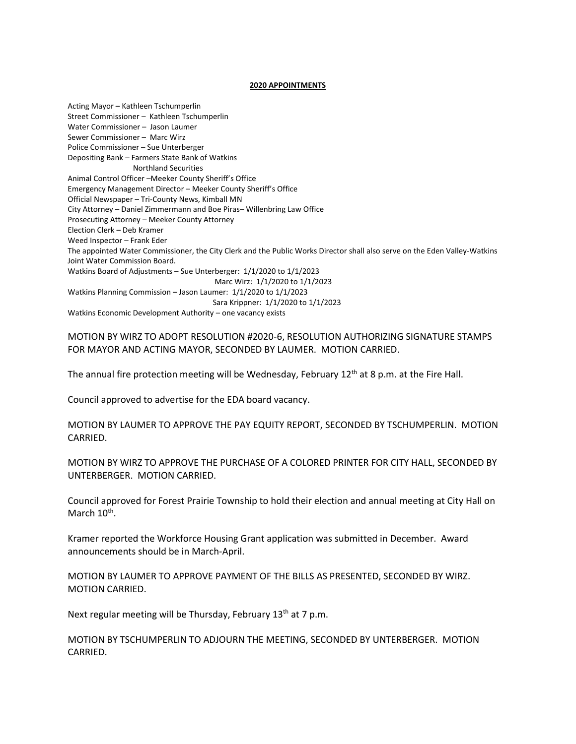## **2020 APPOINTMENTS**

Acting Mayor – Kathleen Tschumperlin Street Commissioner – Kathleen Tschumperlin Water Commissioner – Jason Laumer Sewer Commissioner – Marc Wirz Police Commissioner – Sue Unterberger Depositing Bank – Farmers State Bank of Watkins Northland Securities Animal Control Officer –Meeker County Sheriff's Office Emergency Management Director – Meeker County Sheriff's Office Official Newspaper – Tri-County News, Kimball MN City Attorney – Daniel Zimmermann and Boe Piras– Willenbring Law Office Prosecuting Attorney – Meeker County Attorney Election Clerk – Deb Kramer Weed Inspector – Frank Eder The appointed Water Commissioner, the City Clerk and the Public Works Director shall also serve on the Eden Valley-Watkins Joint Water Commission Board. Watkins Board of Adjustments – Sue Unterberger: 1/1/2020 to 1/1/2023 Marc Wirz: 1/1/2020 to 1/1/2023 Watkins Planning Commission – Jason Laumer: 1/1/2020 to 1/1/2023 Sara Krippner: 1/1/2020 to 1/1/2023

Watkins Economic Development Authority – one vacancy exists

MOTION BY WIRZ TO ADOPT RESOLUTION #2020-6, RESOLUTION AUTHORIZING SIGNATURE STAMPS FOR MAYOR AND ACTING MAYOR, SECONDED BY LAUMER. MOTION CARRIED.

The annual fire protection meeting will be Wednesday, February 12<sup>th</sup> at 8 p.m. at the Fire Hall.

Council approved to advertise for the EDA board vacancy.

MOTION BY LAUMER TO APPROVE THE PAY EQUITY REPORT, SECONDED BY TSCHUMPERLIN. MOTION CARRIED.

MOTION BY WIRZ TO APPROVE THE PURCHASE OF A COLORED PRINTER FOR CITY HALL, SECONDED BY UNTERBERGER. MOTION CARRIED.

Council approved for Forest Prairie Township to hold their election and annual meeting at City Hall on March 10<sup>th</sup>.

Kramer reported the Workforce Housing Grant application was submitted in December. Award announcements should be in March-April.

MOTION BY LAUMER TO APPROVE PAYMENT OF THE BILLS AS PRESENTED, SECONDED BY WIRZ. MOTION CARRIED.

Next regular meeting will be Thursday, February  $13<sup>th</sup>$  at 7 p.m.

MOTION BY TSCHUMPERLIN TO ADJOURN THE MEETING, SECONDED BY UNTERBERGER. MOTION CARRIED.